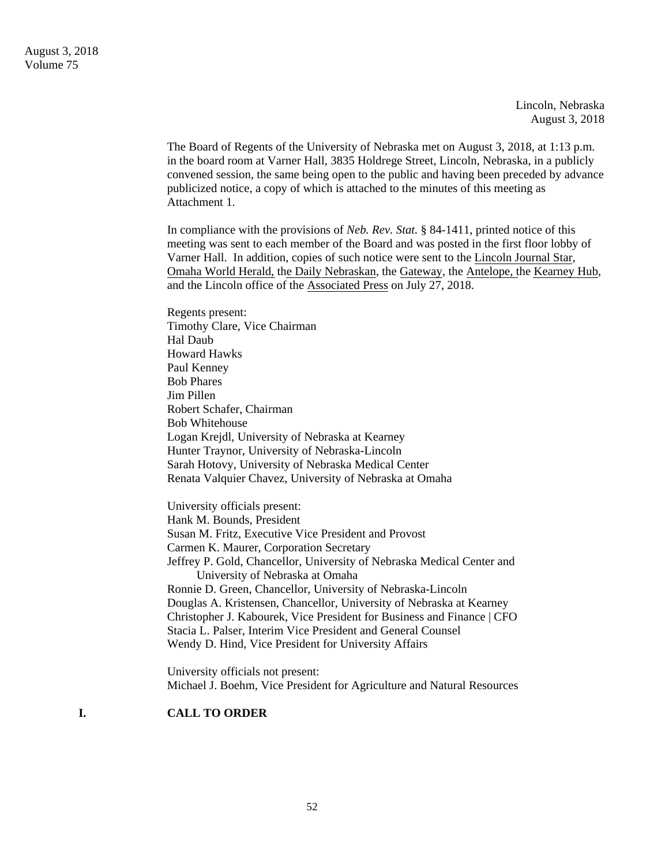Lincoln, Nebraska August 3, 2018

The Board of Regents of the University of Nebraska met on August 3, 2018, at 1:13 p.m. in the board room at Varner Hall, 3835 Holdrege Street, Lincoln, Nebraska, in a publicly convened session, the same being open to the public and having been preceded by advance publicized notice, a copy of which is attached to the minutes of this meeting as Attachment 1.

In compliance with the provisions of *Neb. Rev. Stat.* § 84-1411, printed notice of this meeting was sent to each member of the Board and was posted in the first floor lobby of Varner Hall. In addition, copies of such notice were sent to the Lincoln Journal Star, Omaha World Herald, the Daily Nebraskan, the Gateway, the Antelope, the Kearney Hub, and the Lincoln office of the Associated Press on July 27, 2018.

Regents present: Timothy Clare, Vice Chairman Hal Daub Howard Hawks Paul Kenney Bob Phares Jim Pillen Robert Schafer, Chairman Bob Whitehouse Logan Krejdl, University of Nebraska at Kearney Hunter Traynor, University of Nebraska-Lincoln Sarah Hotovy, University of Nebraska Medical Center Renata Valquier Chavez, University of Nebraska at Omaha

University officials present: Hank M. Bounds, President Susan M. Fritz, Executive Vice President and Provost Carmen K. Maurer, Corporation Secretary Jeffrey P. Gold, Chancellor, University of Nebraska Medical Center and University of Nebraska at Omaha Ronnie D. Green, Chancellor, University of Nebraska-Lincoln Douglas A. Kristensen, Chancellor, University of Nebraska at Kearney Christopher J. Kabourek, Vice President for Business and Finance | CFO Stacia L. Palser, Interim Vice President and General Counsel Wendy D. Hind, Vice President for University Affairs

University officials not present: Michael J. Boehm, Vice President for Agriculture and Natural Resources

## **I. CALL TO ORDER**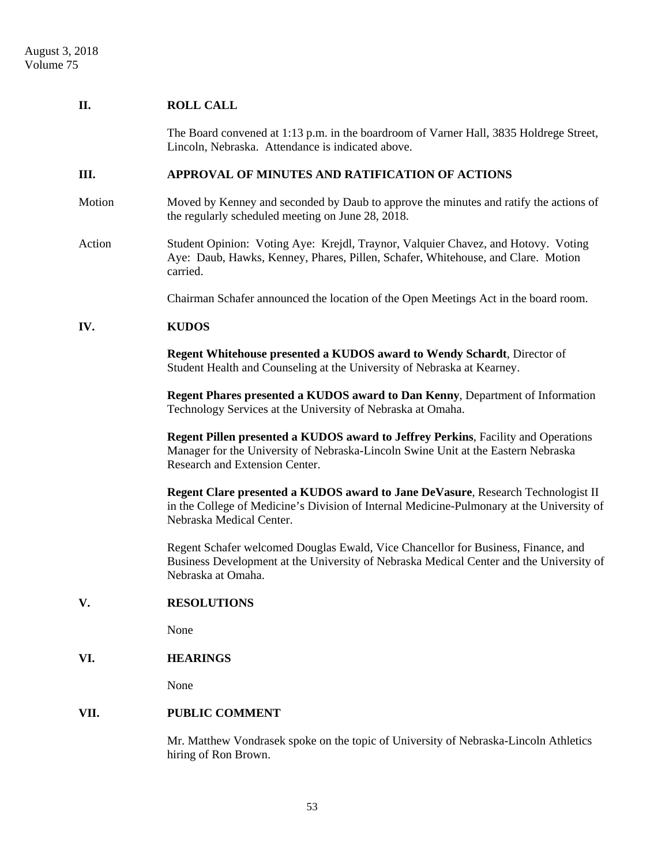## **II. ROLL CALL**

The Board convened at 1:13 p.m. in the boardroom of Varner Hall, 3835 Holdrege Street, Lincoln, Nebraska. Attendance is indicated above.

## **III. APPROVAL OF MINUTES AND RATIFICATION OF ACTIONS**

- Motion Moved by Kenney and seconded by Daub to approve the minutes and ratify the actions of the regularly scheduled meeting on June 28, 2018.
- Action Student Opinion: Voting Aye: Krejdl, Traynor, Valquier Chavez, and Hotovy. Voting Aye: Daub, Hawks, Kenney, Phares, Pillen, Schafer, Whitehouse, and Clare. Motion carried.

Chairman Schafer announced the location of the Open Meetings Act in the board room.

### **IV. KUDOS**

**Regent Whitehouse presented a KUDOS award to Wendy Schardt**, Director of Student Health and Counseling at the University of Nebraska at Kearney.

**Regent Phares presented a KUDOS award to Dan Kenny**, Department of Information Technology Services at the University of Nebraska at Omaha.

**Regent Pillen presented a KUDOS award to Jeffrey Perkins**, Facility and Operations Manager for the University of Nebraska-Lincoln Swine Unit at the Eastern Nebraska Research and Extension Center.

**Regent Clare presented a KUDOS award to Jane DeVasure**, Research Technologist II in the College of Medicine's Division of Internal Medicine-Pulmonary at the University of Nebraska Medical Center.

Regent Schafer welcomed Douglas Ewald, Vice Chancellor for Business, Finance, and Business Development at the University of Nebraska Medical Center and the University of Nebraska at Omaha.

## **V. RESOLUTIONS**

None

## **VI. HEARINGS**

None

## **VII. PUBLIC COMMENT**

 Mr. Matthew Vondrasek spoke on the topic of University of Nebraska-Lincoln Athletics hiring of Ron Brown.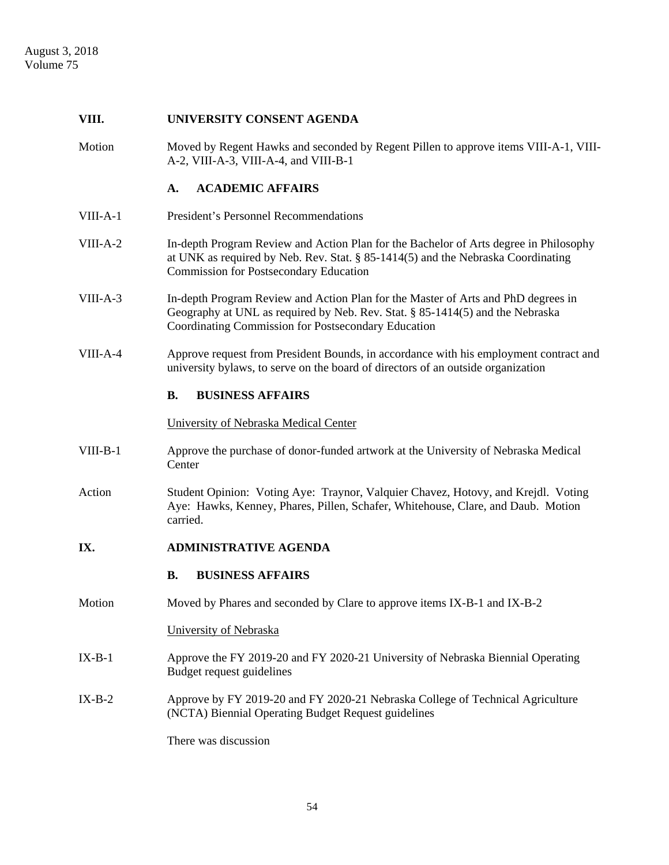#### **VIII. UNIVERSITY CONSENT AGENDA**

Motion Moved by Regent Hawks and seconded by Regent Pillen to approve items VIII-A-1, VIII-A-2, VIII-A-3, VIII-A-4, and VIII-B-1

## **A. ACADEMIC AFFAIRS**

- VIII-A-1 President's Personnel Recommendations
- VIII-A-2 In-depth Program Review and Action Plan for the Bachelor of Arts degree in Philosophy at UNK as required by Neb. Rev. Stat. § 85-1414(5) and the Nebraska Coordinating Commission for Postsecondary Education
- VIII-A-3 In-depth Program Review and Action Plan for the Master of Arts and PhD degrees in Geography at UNL as required by Neb. Rev. Stat. § 85-1414(5) and the Nebraska Coordinating Commission for Postsecondary Education
- VIII-A-4 Approve request from President Bounds, in accordance with his employment contract and university bylaws, to serve on the board of directors of an outside organization

## **B. BUSINESS AFFAIRS**

#### University of Nebraska Medical Center

- VIII-B-1 Approve the purchase of donor-funded artwork at the University of Nebraska Medical **Center**
- Action Student Opinion: Voting Aye: Traynor, Valquier Chavez, Hotovy, and Krejdl. Voting Aye: Hawks, Kenney, Phares, Pillen, Schafer, Whitehouse, Clare, and Daub. Motion carried.

## **IX. ADMINISTRATIVE AGENDA**

#### **B. BUSINESS AFFAIRS**

Motion Moved by Phares and seconded by Clare to approve items IX-B-1 and IX-B-2

## University of Nebraska

- IX-B-1 Approve the FY 2019-20 and FY 2020-21 University of Nebraska Biennial Operating Budget request guidelines
- IX-B-2 Approve by FY 2019-20 and FY 2020-21 Nebraska College of Technical Agriculture (NCTA) Biennial Operating Budget Request guidelines

There was discussion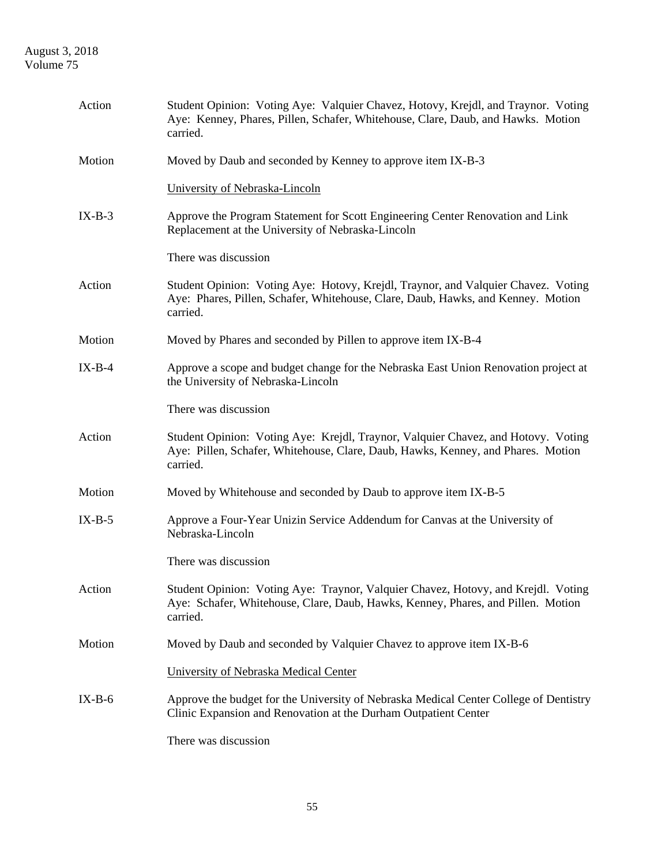# August 3, 2018 Volume 75

| Action   | Student Opinion: Voting Aye: Valquier Chavez, Hotovy, Krejdl, and Traynor. Voting<br>Aye: Kenney, Phares, Pillen, Schafer, Whitehouse, Clare, Daub, and Hawks. Motion<br>carried. |
|----------|-----------------------------------------------------------------------------------------------------------------------------------------------------------------------------------|
| Motion   | Moved by Daub and seconded by Kenney to approve item IX-B-3                                                                                                                       |
|          | University of Nebraska-Lincoln                                                                                                                                                    |
| $IX-B-3$ | Approve the Program Statement for Scott Engineering Center Renovation and Link<br>Replacement at the University of Nebraska-Lincoln                                               |
|          | There was discussion                                                                                                                                                              |
| Action   | Student Opinion: Voting Aye: Hotovy, Krejdl, Traynor, and Valquier Chavez. Voting<br>Aye: Phares, Pillen, Schafer, Whitehouse, Clare, Daub, Hawks, and Kenney. Motion<br>carried. |
| Motion   | Moved by Phares and seconded by Pillen to approve item IX-B-4                                                                                                                     |
| $IX-B-4$ | Approve a scope and budget change for the Nebraska East Union Renovation project at<br>the University of Nebraska-Lincoln                                                         |
|          | There was discussion                                                                                                                                                              |
| Action   | Student Opinion: Voting Aye: Krejdl, Traynor, Valquier Chavez, and Hotovy. Voting<br>Aye: Pillen, Schafer, Whitehouse, Clare, Daub, Hawks, Kenney, and Phares. Motion<br>carried. |
| Motion   | Moved by Whitehouse and seconded by Daub to approve item IX-B-5                                                                                                                   |
| $IX-B-5$ | Approve a Four-Year Unizin Service Addendum for Canvas at the University of<br>Nebraska-Lincoln                                                                                   |
|          | There was discussion                                                                                                                                                              |
| Action   | Student Opinion: Voting Aye: Traynor, Valquier Chavez, Hotovy, and Krejdl. Voting<br>Aye: Schafer, Whitehouse, Clare, Daub, Hawks, Kenney, Phares, and Pillen. Motion<br>carried. |
| Motion   | Moved by Daub and seconded by Valquier Chavez to approve item IX-B-6                                                                                                              |
|          | University of Nebraska Medical Center                                                                                                                                             |
| $IX-B-6$ | Approve the budget for the University of Nebraska Medical Center College of Dentistry<br>Clinic Expansion and Renovation at the Durham Outpatient Center                          |
|          | There was discussion                                                                                                                                                              |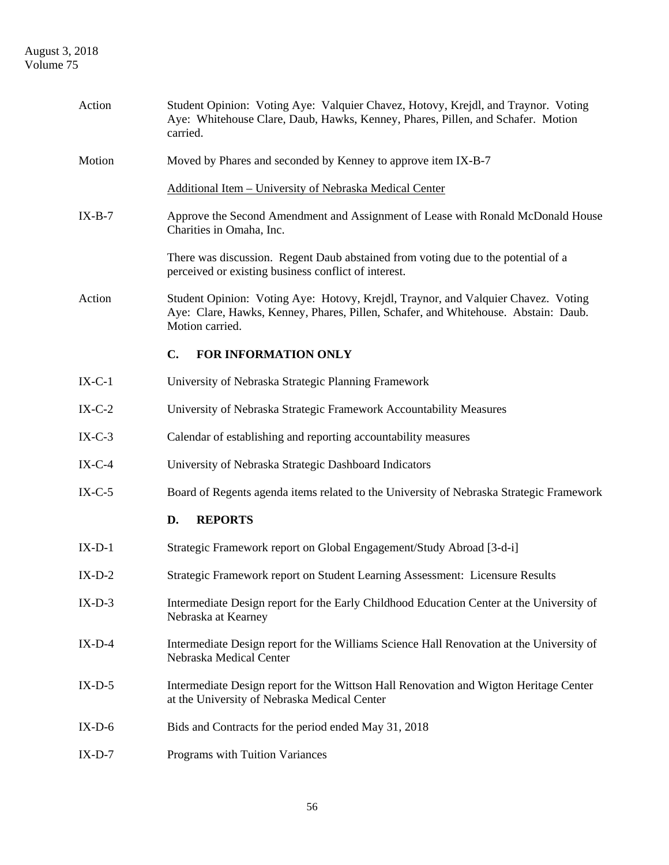# August 3, 2018 Volume 75

| Action   | Student Opinion: Voting Aye: Valquier Chavez, Hotovy, Krejdl, and Traynor. Voting<br>Aye: Whitehouse Clare, Daub, Hawks, Kenney, Phares, Pillen, and Schafer. Motion<br>carried.           |
|----------|--------------------------------------------------------------------------------------------------------------------------------------------------------------------------------------------|
| Motion   | Moved by Phares and seconded by Kenney to approve item IX-B-7                                                                                                                              |
|          | Additional Item - University of Nebraska Medical Center                                                                                                                                    |
| $IX-B-7$ | Approve the Second Amendment and Assignment of Lease with Ronald McDonald House<br>Charities in Omaha, Inc.                                                                                |
|          | There was discussion. Regent Daub abstained from voting due to the potential of a<br>perceived or existing business conflict of interest.                                                  |
| Action   | Student Opinion: Voting Aye: Hotovy, Krejdl, Traynor, and Valquier Chavez. Voting<br>Aye: Clare, Hawks, Kenney, Phares, Pillen, Schafer, and Whitehouse. Abstain: Daub.<br>Motion carried. |
|          | C.<br>FOR INFORMATION ONLY                                                                                                                                                                 |
| $IX-C-1$ | University of Nebraska Strategic Planning Framework                                                                                                                                        |
| $IX-C-2$ | University of Nebraska Strategic Framework Accountability Measures                                                                                                                         |
| $IX-C-3$ | Calendar of establishing and reporting accountability measures                                                                                                                             |
| $IX-C-4$ | University of Nebraska Strategic Dashboard Indicators                                                                                                                                      |
| $IX-C-5$ | Board of Regents agenda items related to the University of Nebraska Strategic Framework                                                                                                    |
|          | <b>REPORTS</b><br>D.                                                                                                                                                                       |
| $IX-D-1$ | Strategic Framework report on Global Engagement/Study Abroad [3-d-i]                                                                                                                       |
| $IX-D-2$ | Strategic Framework report on Student Learning Assessment: Licensure Results                                                                                                               |
| $IX-D-3$ | Intermediate Design report for the Early Childhood Education Center at the University of<br>Nebraska at Kearney                                                                            |
| $IX-D-4$ | Intermediate Design report for the Williams Science Hall Renovation at the University of<br>Nebraska Medical Center                                                                        |
| $IX-D-5$ | Intermediate Design report for the Wittson Hall Renovation and Wigton Heritage Center<br>at the University of Nebraska Medical Center                                                      |
| $IX-D-6$ | Bids and Contracts for the period ended May 31, 2018                                                                                                                                       |
| $IX-D-7$ | Programs with Tuition Variances                                                                                                                                                            |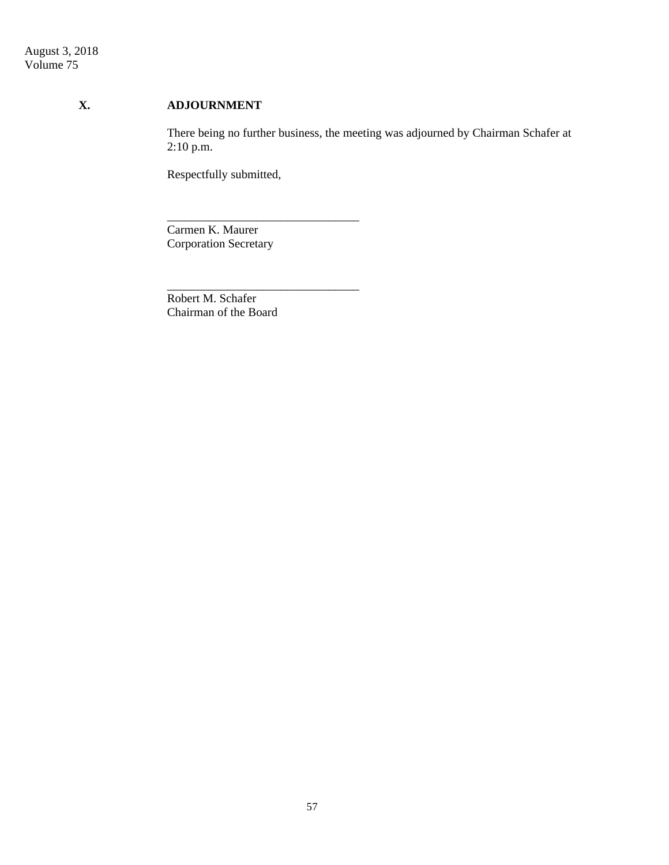# **X. ADJOURNMENT**

 There being no further business, the meeting was adjourned by Chairman Schafer at 2:10 p.m.

Respectfully submitted,

Carmen K. Maurer Corporation Secretary

\_\_\_\_\_\_\_\_\_\_\_\_\_\_\_\_\_\_\_\_\_\_\_\_\_\_\_\_\_\_\_\_

\_\_\_\_\_\_\_\_\_\_\_\_\_\_\_\_\_\_\_\_\_\_\_\_\_\_\_\_\_\_\_\_

Robert M. Schafer Chairman of the Board